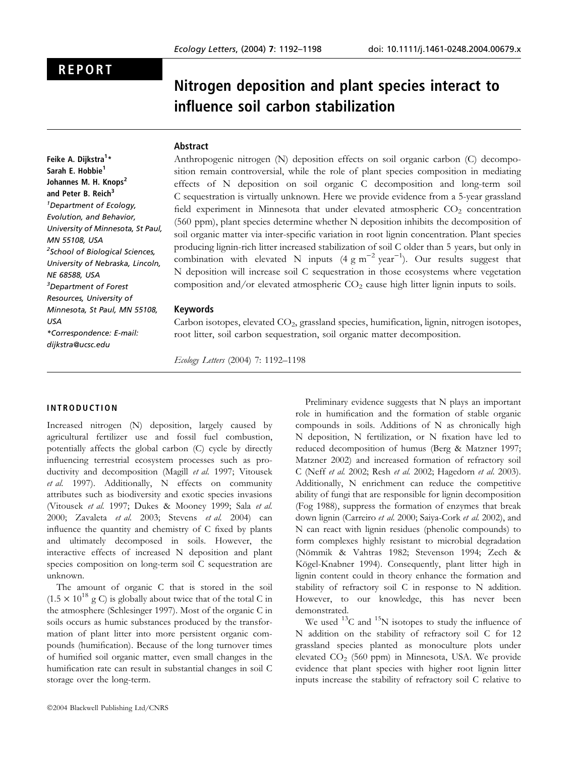# REPORT

# Nitrogen deposition and plant species interact to influence soil carbon stabilization

## Abstract

Feike A. Dijkstra<sup>1</sup>\* Sarah E. Hobbie<sup>1</sup> Johannes M. H. Knops<sup>2</sup> and Peter B. Reich<sup>3</sup> <sup>1</sup>Department of Ecology, Evolution, and Behavior, University of Minnesota, St Paul, MN 55108, USA <sup>2</sup>School of Biological Sciences, University of Nebraska, Lincoln, NE 68588, USA 3 Department of Forest Resources, University of Minnesota, St Paul, MN 55108, USA \*Correspondence: E-mail: dijkstra@ucsc.edu

Anthropogenic nitrogen (N) deposition effects on soil organic carbon (C) decomposition remain controversial, while the role of plant species composition in mediating effects of N deposition on soil organic C decomposition and long-term soil C sequestration is virtually unknown. Here we provide evidence from a 5-year grassland field experiment in Minnesota that under elevated atmospheric  $CO<sub>2</sub>$  concentration (560 ppm), plant species determine whether N deposition inhibits the decomposition of soil organic matter via inter-specific variation in root lignin concentration. Plant species producing lignin-rich litter increased stabilization of soil C older than 5 years, but only in combination with elevated N inputs  $(4 \text{ g m}^{-2} \text{ year}^{-1})$ . Our results suggest that N deposition will increase soil C sequestration in those ecosystems where vegetation composition and/or elevated atmospheric  $CO<sub>2</sub>$  cause high litter lignin inputs to soils.

# Keywords

Carbon isotopes, elevated CO<sub>2</sub>, grassland species, humification, lignin, nitrogen isotopes, root litter, soil carbon sequestration, soil organic matter decomposition.

Ecology Letters (2004) 7: 1192–1198

# INTRODUCTION

Increased nitrogen (N) deposition, largely caused by agricultural fertilizer use and fossil fuel combustion, potentially affects the global carbon (C) cycle by directly influencing terrestrial ecosystem processes such as productivity and decomposition (Magill et al. 1997; Vitousek et al. 1997). Additionally, N effects on community attributes such as biodiversity and exotic species invasions (Vitousek et al. 1997; Dukes & Mooney 1999; Sala et al. 2000; Zavaleta et al. 2003; Stevens et al. 2004) can influence the quantity and chemistry of C fixed by plants and ultimately decomposed in soils. However, the interactive effects of increased N deposition and plant species composition on long-term soil C sequestration are unknown.

The amount of organic C that is stored in the soil  $(1.5 \times 10^{18} \text{ g C})$  is globally about twice that of the total C in the atmosphere (Schlesinger 1997). Most of the organic C in soils occurs as humic substances produced by the transformation of plant litter into more persistent organic compounds (humification). Because of the long turnover times of humified soil organic matter, even small changes in the humification rate can result in substantial changes in soil C storage over the long-term.

Preliminary evidence suggests that N plays an important role in humification and the formation of stable organic compounds in soils. Additions of N as chronically high N deposition, N fertilization, or N fixation have led to reduced decomposition of humus (Berg & Matzner 1997; Matzner 2002) and increased formation of refractory soil C (Neff et al. 2002; Resh et al. 2002; Hagedorn et al. 2003). Additionally, N enrichment can reduce the competitive ability of fungi that are responsible for lignin decomposition (Fog 1988), suppress the formation of enzymes that break down lignin (Carreiro et al. 2000; Saiya-Cork et al. 2002), and N can react with lignin residues (phenolic compounds) to form complexes highly resistant to microbial degradation (Nömmik & Vahtras 1982; Stevenson 1994; Zech & Kögel-Knabner 1994). Consequently, plant litter high in lignin content could in theory enhance the formation and stability of refractory soil C in response to N addition. However, to our knowledge, this has never been demonstrated.

We used  $^{13}$ C and  $^{15}$ N isotopes to study the influence of N addition on the stability of refractory soil C for 12 grassland species planted as monoculture plots under elevated  $CO<sub>2</sub>$  (560 ppm) in Minnesota, USA. We provide evidence that plant species with higher root lignin litter inputs increase the stability of refractory soil C relative to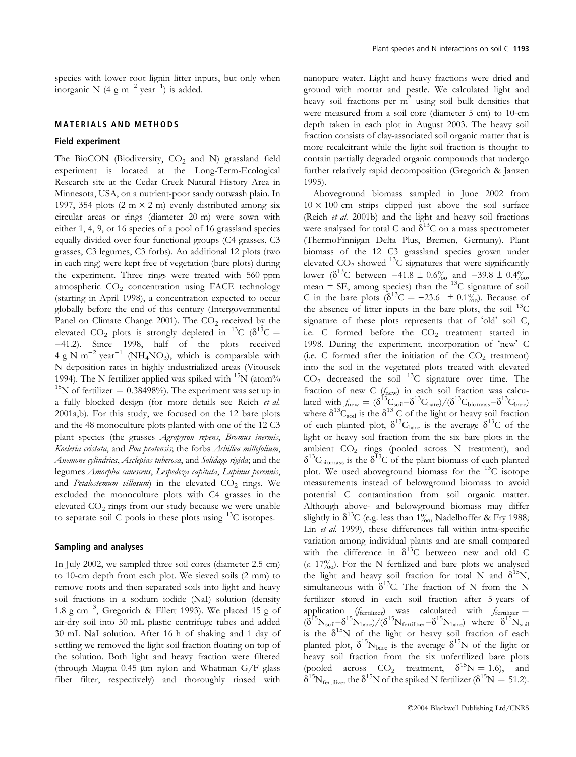species with lower root lignin litter inputs, but only when inorganic N (4 g m<sup>-2</sup> year<sup>-1</sup>) is added.

#### MATERIALS AND METHODS

#### Field experiment

The BioCON (Biodiversity,  $CO<sub>2</sub>$  and N) grassland field experiment is located at the Long-Term-Ecological Research site at the Cedar Creek Natural History Area in Minnesota, USA, on a nutrient-poor sandy outwash plain. In 1997, 354 plots  $(2 \text{ m} \times 2 \text{ m})$  evenly distributed among six circular areas or rings (diameter 20 m) were sown with either 1, 4, 9, or 16 species of a pool of 16 grassland species equally divided over four functional groups (C4 grasses, C3 grasses, C3 legumes, C3 forbs). An additional 12 plots (two in each ring) were kept free of vegetation (bare plots) during the experiment. Three rings were treated with 560 ppm atmospheric  $CO<sub>2</sub>$  concentration using FACE technology (starting in April 1998), a concentration expected to occur globally before the end of this century (Intergovernmental Panel on Climate Change 2001). The  $CO<sub>2</sub>$  received by the elevated CO<sub>2</sub> plots is strongly depleted in <sup>13</sup>C ( $\delta$ <sup>13</sup>C = )41.2). Since 1998, half of the plots received 4 g N m<sup>-2</sup> year<sup>-1</sup> (NH<sub>4</sub>NO<sub>3</sub>), which is comparable with N deposition rates in highly industrialized areas (Vitousek 1994). The N fertilizer applied was spiked with <sup>15</sup>N (atom% <sup>15</sup>N of fertilizer =  $0.38498\%$ ). The experiment was set up in a fully blocked design (for more details see Reich et al. 2001a,b). For this study, we focused on the 12 bare plots and the 48 monoculture plots planted with one of the 12 C3 plant species (the grasses Agropyron repens, Bromus inermis, Koeleria cristata, and Poa pratensis; the forbs Achillea millefolium, Anemone cylindrica, Asclepias tuberosa, and Solidago rigida; and the legumes Amorpha canescens, Lespedeza capitata, Lupinus perennis, and Petalostemum villosum) in the elevated  $CO<sub>2</sub>$  rings. We excluded the monoculture plots with C4 grasses in the elevated CO2 rings from our study because we were unable to separate soil C pools in these plots using  $^{13}$ C isotopes.

#### Sampling and analyses

In July 2002, we sampled three soil cores (diameter 2.5 cm) to 10-cm depth from each plot. We sieved soils (2 mm) to remove roots and then separated soils into light and heavy soil fractions in a sodium iodide (NaI) solution (density 1.8 g cm<sup>-3</sup>, Gregorich & Ellert 1993). We placed 15 g of air-dry soil into 50 mL plastic centrifuge tubes and added 30 mL NaI solution. After 16 h of shaking and 1 day of settling we removed the light soil fraction floating on top of the solution. Both light and heavy fraction were filtered (through Magna 0.45  $\mu$ m nylon and Whatman G/F glass fiber filter, respectively) and thoroughly rinsed with

nanopure water. Light and heavy fractions were dried and ground with mortar and pestle. We calculated light and heavy soil fractions per  $m<sup>2</sup>$  using soil bulk densities that were measured from a soil core (diameter 5 cm) to 10-cm depth taken in each plot in August 2003. The heavy soil fraction consists of clay-associated soil organic matter that is more recalcitrant while the light soil fraction is thought to contain partially degraded organic compounds that undergo further relatively rapid decomposition (Gregorich & Janzen 1995).

Aboveground biomass sampled in June 2002 from  $10 \times 100$  cm strips clipped just above the soil surface (Reich et al. 2001b) and the light and heavy soil fractions were analysed for total C and  $\delta^{13}$ C on a mass spectrometer (ThermoFinnigan Delta Plus, Bremen, Germany). Plant biomass of the 12 C3 grassland species grown under elevated  $CO_2$  showed <sup>13</sup>C signatures that were significantly lower ( $\delta^{13}$ C between  $-41.8 \pm 0.6\%$  and  $-39.8 \pm 0.4\%$ , mean  $\pm$  SE, among species) than the  $^{13}$ C signature of soil C in the bare plots  $(\delta^{13}C = -23.6 \pm 0.1\%)$ . Because of the absence of litter inputs in the bare plots, the soil  $^{13}C$ signature of these plots represents that of 'old' soil C, i.e. C formed before the  $CO<sub>2</sub>$  treatment started in 1998. During the experiment, incorporation of 'new' C (i.e. C formed after the initiation of the  $CO<sub>2</sub>$  treatment) into the soil in the vegetated plots treated with elevated  $CO<sub>2</sub>$  decreased the soil  $^{13}$ C signature over time. The fraction of new C  $(f<sub>new</sub>)$  in each soil fraction was calculated with  $f_{\text{new}} = (\delta^{13}C_{\text{soil}} - \delta^{13}C_{\text{bare}})/(\delta^{13}C_{\text{biomass}} - \delta^{13}C_{\text{bare}})$ where  $\delta^{13}$ C<sub>soil</sub> is the  $\delta^{13}$ C of the light or heavy soil fraction of each planted plot,  $\delta^{13}C_{\text{bare}}$  is the average  $\delta^{13}C$  of the light or heavy soil fraction from the six bare plots in the ambient  $CO<sub>2</sub>$  rings (pooled across N treatment), and  $\delta^{13}C_{\text{biomass}}$  is the  $\delta^{13}C$  of the plant biomass of each planted plot. We used aboveground biomass for the  $^{13}C$  isotope measurements instead of belowground biomass to avoid potential C contamination from soil organic matter. Although above- and belowground biomass may differ slightly in  $\delta^{13}$ C (e.g. less than 1‰, Nadelhoffer & Fry 1988; Lin *et al.* 1999), these differences fall within intra-specific variation among individual plants and are small compared with the difference in  $\delta^{13}$ C between new and old C (c. 17%). For the N fertilized and bare plots we analysed the light and heavy soil fraction for total N and  $\delta^{15}$ N, simultaneous with  $\delta^{13}$ C. The fraction of N from the N fertilizer stored in each soil fraction after 5 years of application ( $f_{\text{fertilizer}}$ ) was calculated with  $f_{\text{fertilizer}} =$  $(\delta^{15}N_{\rm soil}-\delta^{15}N_{\rm bare})/(\delta^{15}N_{\rm fertilizer}-\delta^{15}N_{\rm bare})$  where  $\delta^{15}N_{\rm soil}$ is the  $\delta^{15}N$  of the light or heavy soil fraction of each planted plot,  $\delta^{15}N_{\text{bare}}$  is the average  $\delta^{15}N$  of the light or heavy soil fraction from the six unfertilized bare plots (pooled across  $CO_2$  treatment,  $\delta^{15}N = 1.6$ ), and  $\delta^{15}N_{\text{fertilizer}}$  the  $\delta^{15}N$  of the spiked N fertilizer ( $\delta^{15}N = 51.2$ ).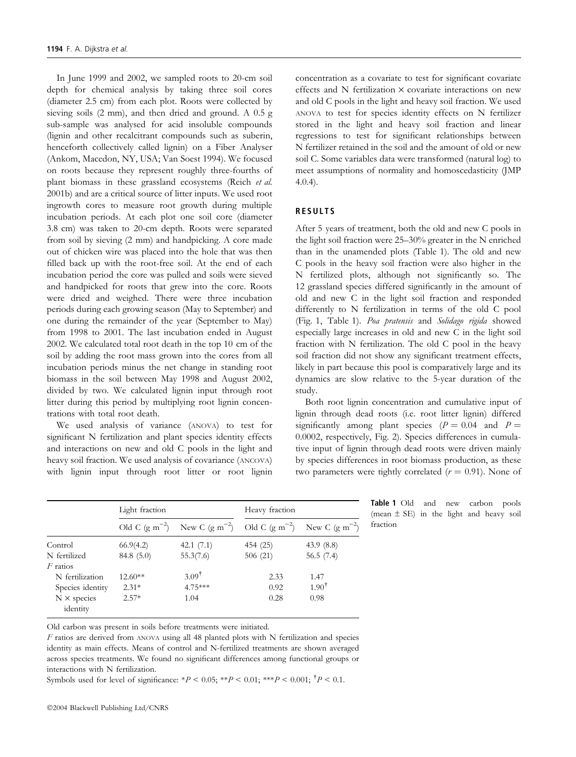In June 1999 and 2002, we sampled roots to 20-cm soil depth for chemical analysis by taking three soil cores (diameter 2.5 cm) from each plot. Roots were collected by sieving soils (2 mm), and then dried and ground. A 0.5 g sub-sample was analysed for acid insoluble compounds (lignin and other recalcitrant compounds such as suberin, henceforth collectively called lignin) on a Fiber Analyser (Ankom, Macedon, NY, USA; Van Soest 1994). We focused on roots because they represent roughly three-fourths of plant biomass in these grassland ecosystems (Reich et al. 2001b) and are a critical source of litter inputs. We used root ingrowth cores to measure root growth during multiple incubation periods. At each plot one soil core (diameter 3.8 cm) was taken to 20-cm depth. Roots were separated from soil by sieving (2 mm) and handpicking. A core made out of chicken wire was placed into the hole that was then filled back up with the root-free soil. At the end of each incubation period the core was pulled and soils were sieved and handpicked for roots that grew into the core. Roots were dried and weighed. There were three incubation periods during each growing season (May to September) and one during the remainder of the year (September to May) from 1998 to 2001. The last incubation ended in August 2002. We calculated total root death in the top 10 cm of the soil by adding the root mass grown into the cores from all incubation periods minus the net change in standing root biomass in the soil between May 1998 and August 2002, divided by two. We calculated lignin input through root litter during this period by multiplying root lignin concentrations with total root death.

We used analysis of variance (ANOVA) to test for significant N fertilization and plant species identity effects and interactions on new and old C pools in the light and heavy soil fraction. We used analysis of covariance (ANCOVA) with lignin input through root litter or root lignin

concentration as a covariate to test for significant covariate effects and  $N$  fertilization  $\times$  covariate interactions on new and old C pools in the light and heavy soil fraction. We used ANOVA to test for species identity effects on N fertilizer stored in the light and heavy soil fraction and linear regressions to test for significant relationships between N fertilizer retained in the soil and the amount of old or new soil C. Some variables data were transformed (natural log) to meet assumptions of normality and homoscedasticity (JMP 4.0.4).

# RESULTS

After 5 years of treatment, both the old and new C pools in the light soil fraction were 25–30% greater in the N enriched than in the unamended plots (Table 1). The old and new C pools in the heavy soil fraction were also higher in the N fertilized plots, although not significantly so. The 12 grassland species differed significantly in the amount of old and new C in the light soil fraction and responded differently to N fertilization in terms of the old C pool (Fig. 1, Table 1). Poa pratensis and Solidago rigida showed especially large increases in old and new C in the light soil fraction with N fertilization. The old C pool in the heavy soil fraction did not show any significant treatment effects, likely in part because this pool is comparatively large and its dynamics are slow relative to the 5-year duration of the study.

Both root lignin concentration and cumulative input of lignin through dead roots (i.e. root litter lignin) differed significantly among plant species ( $P = 0.04$  and  $P =$ 0.0002, respectively, Fig. 2). Species differences in cumulative input of lignin through dead roots were driven mainly by species differences in root biomass production, as these two parameters were tightly correlated ( $r = 0.91$ ). None of

|                                | Light fraction     |                    | Heavy fraction     |                    |
|--------------------------------|--------------------|--------------------|--------------------|--------------------|
|                                | Old C $(g m^{-2})$ | New C $(g m^{-2})$ | Old C $(g m^{-2})$ | New C $(g m^{-2})$ |
| Control                        | 66.9(4.2)          | 42.1 $(7.1)$       | 454 (25)           | 43.9(8.8)          |
| N fertilized                   | 84.8(5.0)          | 55.3(7.6)          | 506 (21)           | 56.5(7.4)          |
| $F$ ratios                     |                    |                    |                    |                    |
| N fertilization                | $12.60**$          | $3.09^{\dagger}$   | 2.33               | 1.47               |
| Species identity               | $2.31*$            | $4.75***$          | 0.92               | $1.90^{\dagger}$   |
| $N \times$ species<br>identity | $2.57*$            | 1.04               | 0.28               | 0.98               |

Table 1 Old and new carbon pools (mean  $\pm$  SE) in the light and heavy soil fraction

Old carbon was present in soils before treatments were initiated.

F ratios are derived from ANOVA using all 48 planted plots with N fertilization and species identity as main effects. Means of control and N-fertilized treatments are shown averaged across species treatments. We found no significant differences among functional groups or interactions with N fertilization.

Symbols used for level of significance: \* $P < 0.05$ ; \*\* $P < 0.01$ ; \*\*\* $P < 0.001$ ;  $^{\dagger}P < 0.1$ .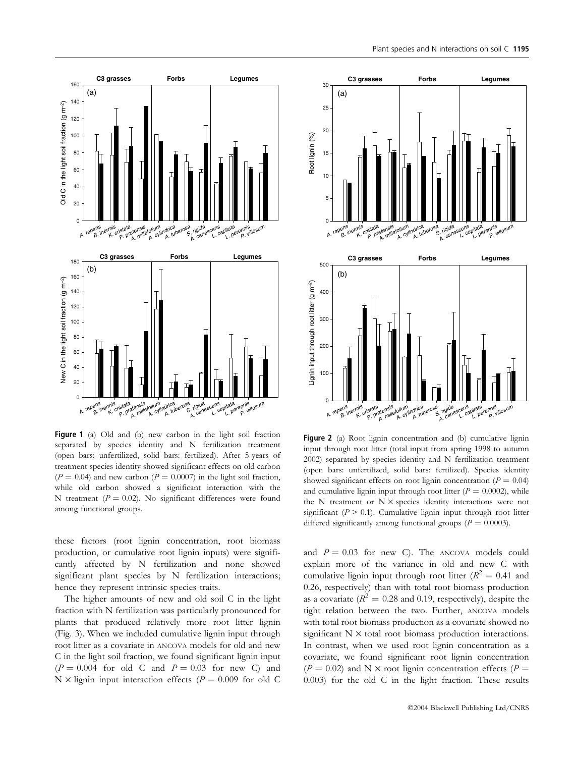

Figure 1 (a) Old and (b) new carbon in the light soil fraction separated by species identity and N fertilization treatment (open bars: unfertilized, solid bars: fertilized). After 5 years of treatment species identity showed significant effects on old carbon  $(P = 0.04)$  and new carbon  $(P = 0.0007)$  in the light soil fraction, while old carbon showed a significant interaction with the N treatment ( $P = 0.02$ ). No significant differences were found among functional groups.

these factors (root lignin concentration, root biomass production, or cumulative root lignin inputs) were significantly affected by N fertilization and none showed significant plant species by N fertilization interactions; hence they represent intrinsic species traits.

The higher amounts of new and old soil C in the light fraction with N fertilization was particularly pronounced for plants that produced relatively more root litter lignin (Fig. 3). When we included cumulative lignin input through root litter as a covariate in ANCOVA models for old and new C in the light soil fraction, we found significant lignin input  $(P = 0.004$  for old C and  $P = 0.03$  for new C) and N  $\times$  lignin input interaction effects ( $P = 0.009$  for old C



Figure 2 (a) Root lignin concentration and (b) cumulative lignin input through root litter (total input from spring 1998 to autumn 2002) separated by species identity and N fertilization treatment (open bars: unfertilized, solid bars: fertilized). Species identity showed significant effects on root lignin concentration ( $P = 0.04$ ) and cumulative lignin input through root litter ( $P = 0.0002$ ), while the N treatment or  $N \times$  species identity interactions were not significant ( $P > 0.1$ ). Cumulative lignin input through root litter differed significantly among functional groups ( $P = 0.0003$ ).

and  $P = 0.03$  for new C). The ANCOVA models could explain more of the variance in old and new C with cumulative lignin input through root litter ( $R^2 = 0.41$  and 0.26, respectively) than with total root biomass production as a covariate ( $R^2 = 0.28$  and 0.19, respectively), despite the tight relation between the two. Further, ANCOVA models with total root biomass production as a covariate showed no significant  $N \times$  total root biomass production interactions. In contrast, when we used root lignin concentration as a covariate, we found significant root lignin concentration  $(P = 0.02)$  and N × root lignin concentration effects (P = 0.003) for the old C in the light fraction. These results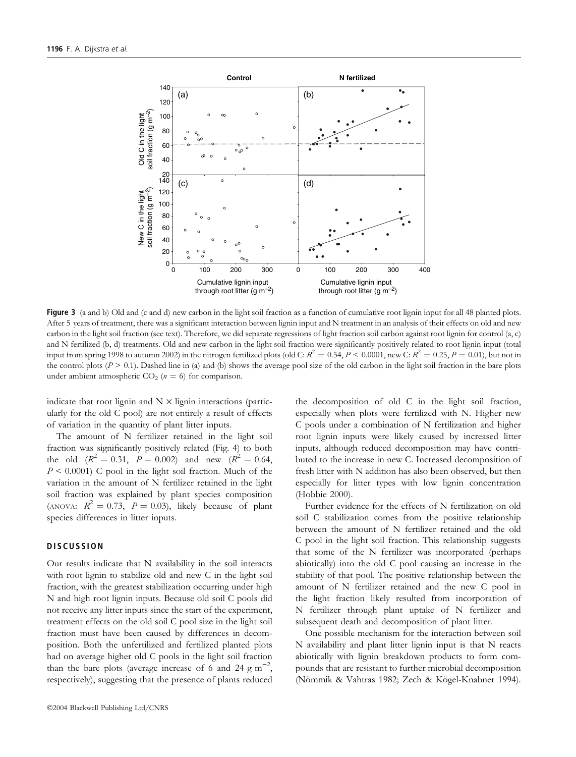

Figure 3 (a and b) Old and (c and d) new carbon in the light soil fraction as a function of cumulative root lignin input for all 48 planted plots. After 5 years of treatment, there was a significant interaction between lignin input and N treatment in an analysis of their effects on old and new carbon in the light soil fraction (see text). Therefore, we did separate regressions of light fraction soil carbon against root lignin for control (a, c) and N fertilized (b, d) treatments. Old and new carbon in the light soil fraction were significantly positively related to root lignin input (total input from spring 1998 to autumn 2002) in the nitrogen fertilized plots (old C:  $R^2 = 0.54$ ,  $P < 0.0001$ , new C:  $R^2 = 0.25$ ,  $P = 0.01$ ), but not in the control plots ( $P > 0.1$ ). Dashed line in (a) and (b) shows the average pool size of the old carbon in the light soil fraction in the bare plots under ambient atmospheric  $CO<sub>2</sub>$  ( $n = 6$ ) for comparison.

indicate that root lignin and  $N \times$  lignin interactions (particularly for the old C pool) are not entirely a result of effects of variation in the quantity of plant litter inputs.

The amount of N fertilizer retained in the light soil fraction was significantly positively related (Fig. 4) to both the old  $(R^2 = 0.31, P = 0.002)$  and new  $(R^2 = 0.64,$  $P \leq 0.0001$ ) C pool in the light soil fraction. Much of the variation in the amount of N fertilizer retained in the light soil fraction was explained by plant species composition (ANOVA:  $R^2 = 0.73$ ,  $P = 0.03$ ), likely because of plant species differences in litter inputs.

# **DISCUSSION**

Our results indicate that N availability in the soil interacts with root lignin to stabilize old and new C in the light soil fraction, with the greatest stabilization occurring under high N and high root lignin inputs. Because old soil C pools did not receive any litter inputs since the start of the experiment, treatment effects on the old soil C pool size in the light soil fraction must have been caused by differences in decomposition. Both the unfertilized and fertilized planted plots had on average higher old C pools in the light soil fraction than the bare plots (average increase of 6 and 24 g m<sup>-2</sup>, respectively), suggesting that the presence of plants reduced

2004 Blackwell Publishing Ltd/CNRS

the decomposition of old C in the light soil fraction, especially when plots were fertilized with N. Higher new C pools under a combination of N fertilization and higher root lignin inputs were likely caused by increased litter inputs, although reduced decomposition may have contributed to the increase in new C. Increased decomposition of fresh litter with N addition has also been observed, but then especially for litter types with low lignin concentration (Hobbie 2000).

Further evidence for the effects of N fertilization on old soil C stabilization comes from the positive relationship between the amount of N fertilizer retained and the old C pool in the light soil fraction. This relationship suggests that some of the N fertilizer was incorporated (perhaps abiotically) into the old C pool causing an increase in the stability of that pool. The positive relationship between the amount of N fertilizer retained and the new C pool in the light fraction likely resulted from incorporation of N fertilizer through plant uptake of N fertilizer and subsequent death and decomposition of plant litter.

One possible mechanism for the interaction between soil N availability and plant litter lignin input is that N reacts abiotically with lignin breakdown products to form compounds that are resistant to further microbial decomposition (Nömmik & Vahtras 1982; Zech & Kögel-Knabner 1994).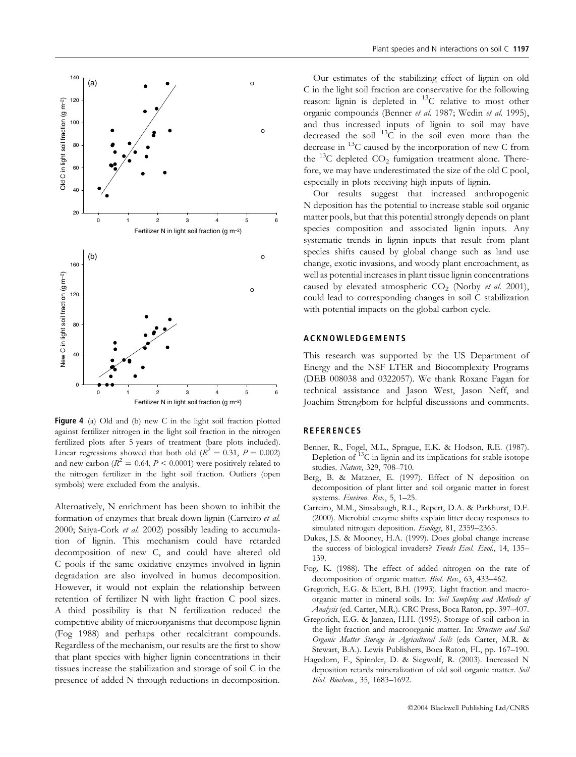

Figure 4 (a) Old and (b) new C in the light soil fraction plotted against fertilizer nitrogen in the light soil fraction in the nitrogen fertilized plots after 5 years of treatment (bare plots included). Linear regressions showed that both old ( $R^2 = 0.31$ ,  $P = 0.002$ ) and new carbon ( $R^2 = 0.64$ ,  $P < 0.0001$ ) were positively related to the nitrogen fertilizer in the light soil fraction. Outliers (open symbols) were excluded from the analysis.

Alternatively, N enrichment has been shown to inhibit the formation of enzymes that break down lignin (Carreiro et al. 2000; Saiya-Cork et al. 2002) possibly leading to accumulation of lignin. This mechanism could have retarded decomposition of new C, and could have altered old C pools if the same oxidative enzymes involved in lignin degradation are also involved in humus decomposition. However, it would not explain the relationship between retention of fertilizer N with light fraction C pool sizes. A third possibility is that N fertilization reduced the competitive ability of microorganisms that decompose lignin (Fog 1988) and perhaps other recalcitrant compounds. Regardless of the mechanism, our results are the first to show that plant species with higher lignin concentrations in their tissues increase the stabilization and storage of soil C in the presence of added N through reductions in decomposition.

Our estimates of the stabilizing effect of lignin on old C in the light soil fraction are conservative for the following reason: lignin is depleted in <sup>13</sup>C relative to most other organic compounds (Benner et al. 1987; Wedin et al. 1995), and thus increased inputs of lignin to soil may have decreased the soil  $^{13}$ C in the soil even more than the decrease in  $^{13}$ C caused by the incorporation of new C from the  $^{13}$ C depleted CO<sub>2</sub> fumigation treatment alone. Therefore, we may have underestimated the size of the old C pool, especially in plots receiving high inputs of lignin.

Our results suggest that increased anthropogenic N deposition has the potential to increase stable soil organic matter pools, but that this potential strongly depends on plant species composition and associated lignin inputs. Any systematic trends in lignin inputs that result from plant species shifts caused by global change such as land use change, exotic invasions, and woody plant encroachment, as well as potential increases in plant tissue lignin concentrations caused by elevated atmospheric  $CO<sub>2</sub>$  (Norby *et al.* 2001), could lead to corresponding changes in soil C stabilization with potential impacts on the global carbon cycle.

## ACKNOWLEDGEMENTS

This research was supported by the US Department of Energy and the NSF LTER and Biocomplexity Programs (DEB 008038 and 0322057). We thank Roxane Fagan for technical assistance and Jason West, Jason Neff, and Joachim Strengbom for helpful discussions and comments.

#### **REFERENCES**

- Benner, R., Fogel, M.L., Sprague, E.K. & Hodson, R.E. (1987). Depletion of 13C in lignin and its implications for stable isotope studies. Nature, 329, 708–710.
- Berg, B. & Matzner, E. (1997). Effect of N deposition on decomposition of plant litter and soil organic matter in forest systems. Environ. Rev., 5, 1-25.
- Carreiro, M.M., Sinsabaugh, R.L., Repert, D.A. & Parkhurst, D.F. (2000). Microbial enzyme shifts explain litter decay responses to simulated nitrogen deposition. Ecology, 81, 2359-2365.
- Dukes, J.S. & Mooney, H.A. (1999). Does global change increase the success of biological invaders? Trends Ecol. Evol., 14, 135-139.
- Fog, K. (1988). The effect of added nitrogen on the rate of decomposition of organic matter. Biol. Rev., 63, 433–462.
- Gregorich, E.G. & Ellert, B.H. (1993). Light fraction and macroorganic matter in mineral soils. In: Soil Sampling and Methods of Analysis (ed. Carter, M.R.). CRC Press, Boca Raton, pp. 397–407.
- Gregorich, E.G. & Janzen, H.H. (1995). Storage of soil carbon in the light fraction and macroorganic matter. In: Structure and Soil Organic Matter Storage in Agricultural Soils (eds Carter, M.R. & Stewart, B.A.). Lewis Publishers, Boca Raton, FL, pp. 167–190.
- Hagedorn, F., Spinnler, D. & Siegwolf, R. (2003). Increased N deposition retards mineralization of old soil organic matter. Soil Biol. Biochem., 35, 1683–1692.